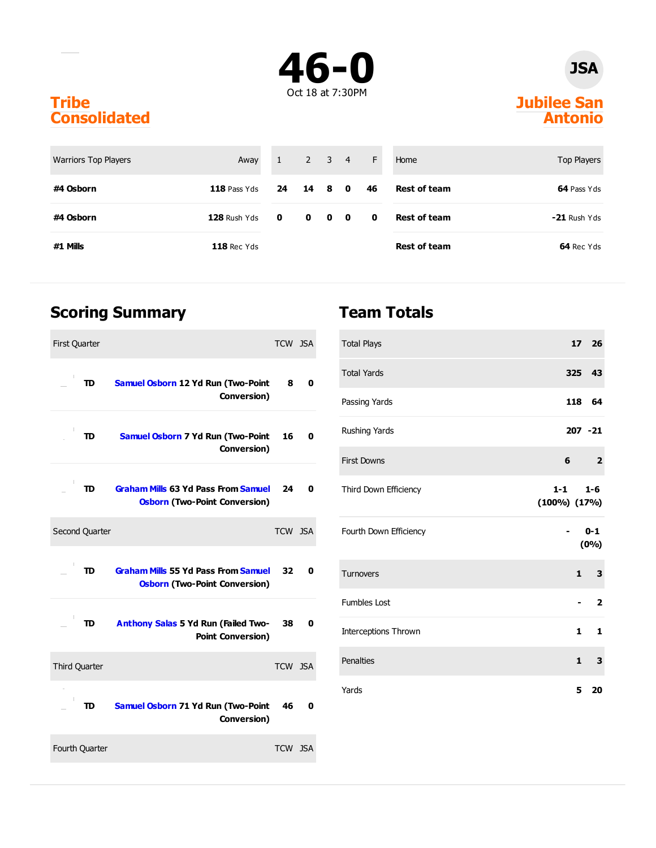

### **JSA**

#### **Jubilee San Antonio**

#### **Tribe Consolidated**

| <b>Warriors Top Players</b> | Away           | 1            |        | $2 \quad 3 \quad 4$ | $-F$                | Home                | Top Players    |
|-----------------------------|----------------|--------------|--------|---------------------|---------------------|---------------------|----------------|
| #4 Osborn                   | $118$ Pass Yds | 24           | 14 8 0 |                     | 46                  | <b>Rest of team</b> | 64 Pass Yds    |
| #4 Osborn                   | $128$ Rush Yds | $\mathbf{0}$ |        | $0\quad 0\quad 0$   | $\bullet$ $\bullet$ | <b>Rest of team</b> | $-21$ Rush Yds |
| #1 Mills                    | $118$ Rec Yds  |              |        |                     |                     | <b>Rest of team</b> | 64 Rec Yds     |

### **Scoring Summary**

| <b>First Quarter</b>                                                                     | TCW JSA |   |
|------------------------------------------------------------------------------------------|---------|---|
| <b>Samuel Osborn 12 Yd Run (Two-Point</b><br>TD<br>Conversion)                           | 8       | 0 |
| TD<br><b>Samuel Osborn 7 Yd Run (Two-Point</b><br>Conversion)                            | 16      | 0 |
| <b>Graham Mills 63 Yd Pass From Samuel</b><br>TD<br><b>Osborn (Two-Point Conversion)</b> | 24      | 0 |
| Second Quarter                                                                           | TCW JSA |   |
| <b>Graham Mills 55 Yd Pass From Samuel</b><br>TD<br><b>Osborn (Two-Point Conversion)</b> | 32      | 0 |
| Anthony Salas 5 Yd Run (Failed Two-<br>TD<br><b>Point Conversion)</b>                    | 38      | 0 |
| <b>Third Quarter</b>                                                                     | TCW JSA |   |
| Samuel Osborn 71 Yd Run (Two-Point<br>TD<br>Conversion)                                  | 46      | 0 |
| Fourth Quarter                                                                           | TCW JSA |   |

### **Team Totals**

| <b>Total Plays</b>          |                           | 17 26        |                         |
|-----------------------------|---------------------------|--------------|-------------------------|
| <b>Total Yards</b>          |                           | 325 43       |                         |
| Passing Yards               |                           | 118 64       |                         |
| Rushing Yards               |                           | $207 - 21$   |                         |
| <b>First Downs</b>          | 6                         |              | $\overline{\mathbf{2}}$ |
| Third Down Efficiency       | $1-1$<br>$(100\%) (17\%)$ |              | $1 - 6$                 |
| Fourth Down Efficiency      |                           |              | $0 - 1$<br>(0%)         |
| <b>Turnovers</b>            |                           |              | $1 \quad 3$             |
| <b>Fumbles Lost</b>         |                           |              | $\overline{\mathbf{2}}$ |
| <b>Interceptions Thrown</b> |                           | 1            | 1                       |
| Penalties                   |                           | $\mathbf{1}$ | 3                       |
| Yards                       |                           | 5            | 20                      |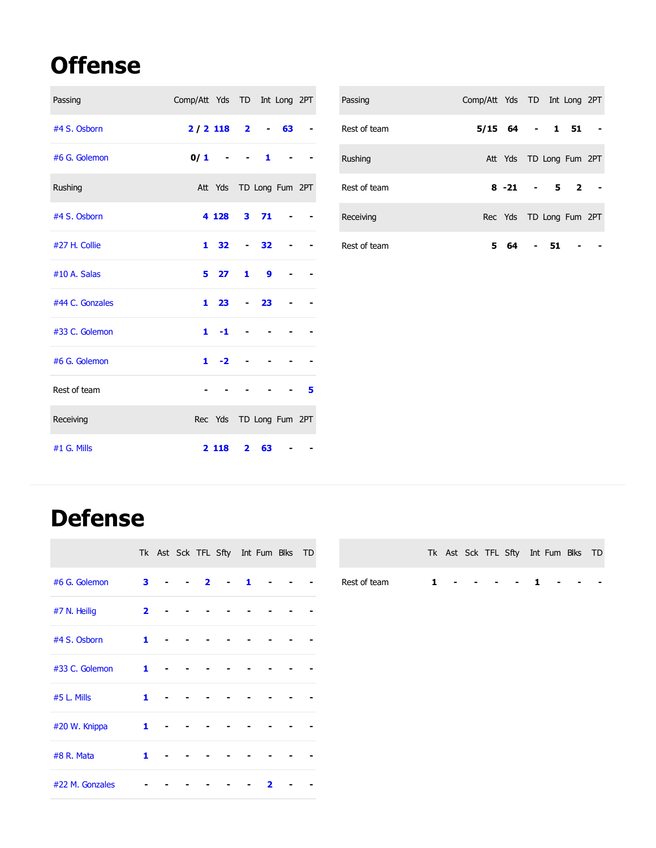# **Offense**

| Passing         | Comp/Att Yds TD Int Long 2PT |                         |                         |    |       | Passing      | Comp/Att Yds TD Int Long 2PT |          |              |                         |            |
|-----------------|------------------------------|-------------------------|-------------------------|----|-------|--------------|------------------------------|----------|--------------|-------------------------|------------|
| #4 S. Osborn    | $2/2$ 118                    |                         | $\overline{\mathbf{2}}$ |    | $-63$ | Rest of team | $5/15$ 64                    |          | $\mathbf{1}$ | $51 -$                  |            |
| #6 G. Golemon   | 0/1                          | $\blacksquare$          |                         | 1  |       | Rushing      |                              |          |              | Att Yds TD Long Fum 2PT |            |
| Rushing         |                              | Att Yds TD Long Fum 2PT |                         |    |       | Rest of team |                              | $8 - 21$ | 5            | $\overline{2}$          | $\sim$ $-$ |
| #4 S. Osborn    |                              | 4 1 28                  | 3 <sub>1</sub>          | 71 |       | Receiving    |                              |          |              | Rec Yds TD Long Fum 2PT |            |
| #27 H. Collie   |                              | $1 \quad 32$            | $\sim 100$              | 32 |       | Rest of team |                              | 5 64     | 51           |                         |            |
| #10 A. Salas    |                              | 5 <sub>27</sub>         | 1                       | 9  |       |              |                              |          |              |                         |            |
| #44 C. Gonzales |                              | $1\quad23$              |                         | 23 |       |              |                              |          |              |                         |            |
| #33 C. Golemon  |                              | $1 - 1$                 |                         |    |       |              |                              |          |              |                         |            |
| #6 G. Golemon   |                              | $1 - 2$                 |                         |    |       |              |                              |          |              |                         |            |
| Rest of team    |                              |                         |                         |    |       |              |                              |          |              |                         |            |
| Receiving       |                              | Rec Yds TD Long Fum 2PT |                         |    |       |              |                              |          |              |                         |            |
| #1 G. Mills     |                              | 2 1 1 8                 | $\overline{2}$          | 63 |       |              |                              |          |              |                         |            |

## **Defense**

|                 |                         |  |                | Tk Ast Sck TFL Sfty Int Fum Blks TD |   |   |  |
|-----------------|-------------------------|--|----------------|-------------------------------------|---|---|--|
| #6 G. Golemon   | 3                       |  | $\overline{2}$ |                                     | 1 |   |  |
| #7 N. Heilig    | $\overline{\mathbf{2}}$ |  |                |                                     |   |   |  |
| #4 S. Osborn    | $\mathbf{1}$            |  |                |                                     |   |   |  |
| #33 C. Golemon  | $\mathbf{1}$            |  |                |                                     |   |   |  |
| #5 L. Mills     | 1                       |  |                |                                     |   |   |  |
| #20 W. Knippa   | $\mathbf{1}$            |  |                |                                     |   |   |  |
| #8 R. Mata      | 1                       |  |                |                                     |   |   |  |
| #22 M. Gonzales |                         |  |                |                                     |   | 2 |  |

|              |  |  | Tk Ast Sck TFL Sfty Int Fum Blks TD |  |  |
|--------------|--|--|-------------------------------------|--|--|
| Rest of team |  |  | 1 1                                 |  |  |